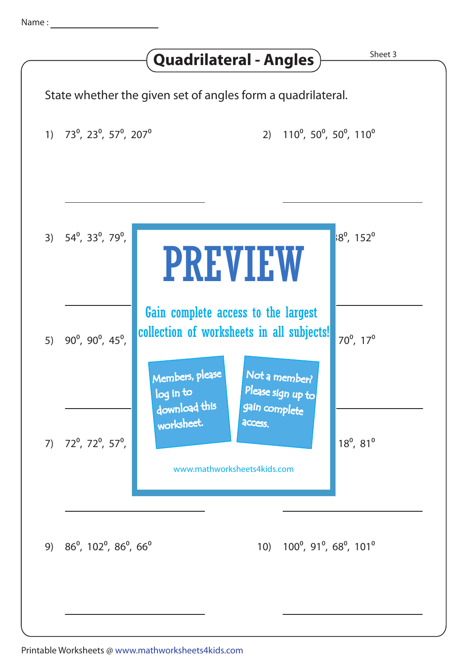|                                                                  | State whether the given set of angles form a quadrilateral.                                                                                            |                                                                            |
|------------------------------------------------------------------|--------------------------------------------------------------------------------------------------------------------------------------------------------|----------------------------------------------------------------------------|
| 1) $73^0$ , $23^0$ , $57^0$ , $207^0$                            |                                                                                                                                                        | 2) 110 <sup>°</sup> , 50 <sup>°</sup> , 50 <sup>°</sup> , 110 <sup>°</sup> |
| 3) $54^{\circ}$ , 33 <sup>°</sup> , 79 <sup>°</sup> ,            | <b>PREVIEW</b>                                                                                                                                         | $18^{\circ}$ , 152 $^{\circ}$                                              |
| 5) $90^{\circ}$ , $90^{\circ}$ , $45^{\circ}$ ,                  | Gain complete access to the largest<br>collection of worksheets in all subjects!<br>Members, please<br>Not a member?<br>Please sign up to<br>log in to | $70^{\circ}$ , $17^{\circ}$                                                |
| 7) $72^0$ , $72^0$ , $57^0$ ,                                    | download this<br>gain complete<br>worksheet.<br>access.<br>www.mathworksheets4kids.com                                                                 | $18^{\circ}$ , $81^{\circ}$                                                |
| 9) $86^{\circ}$ , 102 $^{\circ}$ , 86 $^{\circ}$ , 66 $^{\circ}$ | 10)                                                                                                                                                    | $100^{\circ}$ , 91 $^{\circ}$ , 68 $^{\circ}$ , 101 $^{\circ}$             |